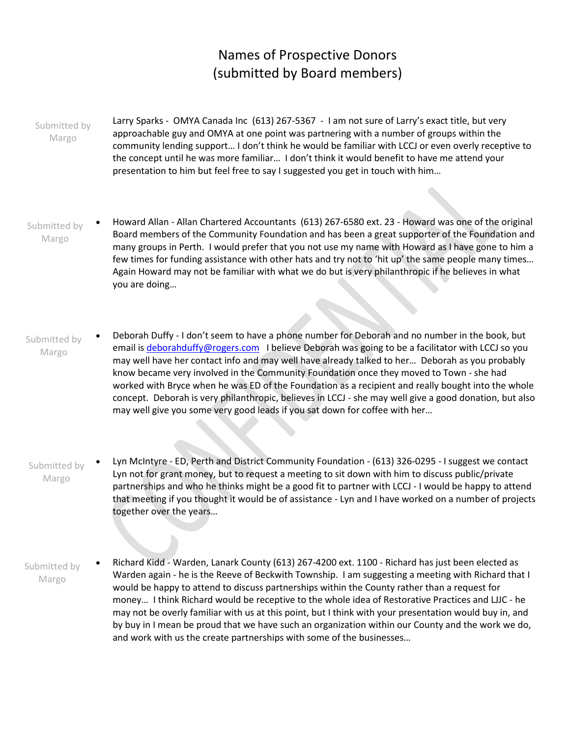## Names of Prospective Donors (submitted by Board members)

• Larry Sparks - OMYA Canada Inc (613) 267-5367 - I am not sure of Larry's exact title, but very approachable guy and OMYA at one point was partnering with a number of groups within the community lending support… I don't think he would be familiar with LCCJ or even overly receptive to the concept until he was more familiar… I don't think it would benefit to have me attend your presentation to him but feel free to say I suggested you get in touch with him… Submitted by Margo

- Howard Allan Allan Chartered Accountants (613) 267-6580 ext. 23 Howard was one of the original Board members of the Community Foundation and has been a great supporter of the Foundation and many groups in Perth. I would prefer that you not use my name with Howard as I have gone to him a few times for funding assistance with other hats and try not to 'hit up' the same people many times… Again Howard may not be familiar with what we do but is very philanthropic if he believes in what you are doing… Submitted by Margo
- Deborah Duffy I don't seem to have a phone number for Deborah and no number in the book, but email is [deborahduffy@rogers.com](mailto:deborahduffy@rogers.com) I believe Deborah was going to be a facilitator with LCCJ so you may well have her contact info and may well have already talked to her… Deborah as you probably know became very involved in the Community Foundation once they moved to Town - she had worked with Bryce when he was ED of the Foundation as a recipient and really bought into the whole concept. Deborah is very philanthropic, believes in LCCJ - she may well give a good donation, but also may well give you some very good leads if you sat down for coffee with her… Submitted by Margo
- Lyn McIntyre ED, Perth and District Community Foundation (613) 326-0295 I suggest we contact Lyn not for grant money, but to request a meeting to sit down with him to discuss public/private partnerships and who he thinks might be a good fit to partner with LCCJ - I would be happy to attend that meeting if you thought it would be of assistance - Lyn and I have worked on a number of projects together over the years… Submitted by Margo
- Richard Kidd Warden, Lanark County (613) 267-4200 ext. 1100 Richard has just been elected as Warden again - he is the Reeve of Beckwith Township. I am suggesting a meeting with Richard that I would be happy to attend to discuss partnerships within the County rather than a request for money… I think Richard would be receptive to the whole idea of Restorative Practices and LJJC - he may not be overly familiar with us at this point, but I think with your presentation would buy in, and by buy in I mean be proud that we have such an organization within our County and the work we do, and work with us the create partnerships with some of the businesses… Submitted by Margo